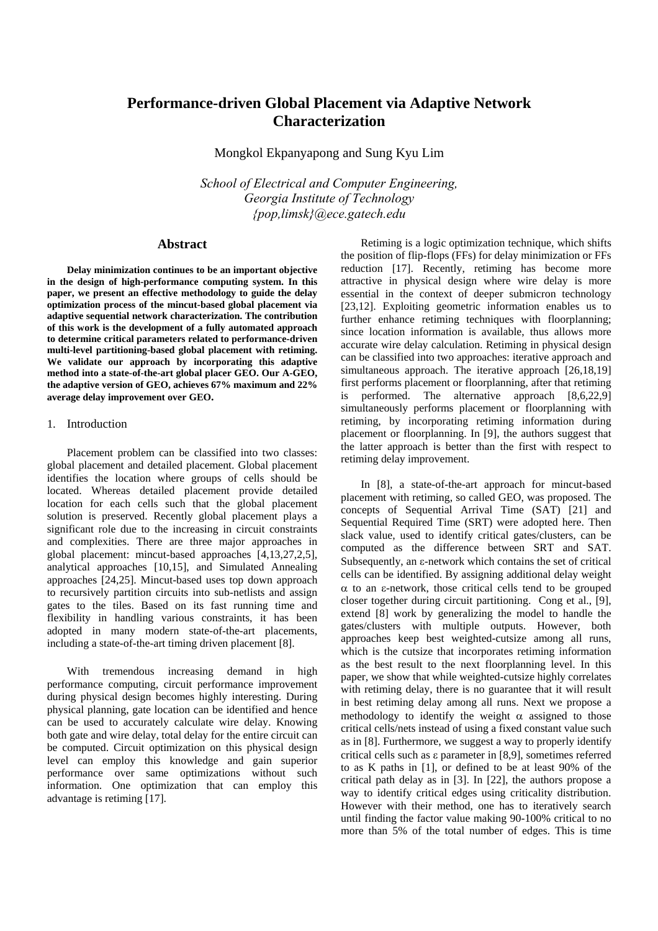# **Performance-driven Global Placement via Adaptive Network Characterization**

Mongkol Ekpanyapong and Sung Kyu Lim

*School of Electrical and Computer Engineering, Georgia Institute of Technology {pop,limsk}@ece.gatech.edu* 

## **Abstract**

**Delay minimization continues to be an important objective in the design of high-performance computing system. In this paper, we present an effective methodology to guide the delay optimization process of the mincut-based global placement via adaptive sequential network characterization. The contribution of this work is the development of a fully automated approach to determine critical parameters related to performance-driven multi-level partitioning-based global placement with retiming. We validate our approach by incorporating this adaptive method into a state-of-the-art global placer GEO. Our A-GEO, the adaptive version of GEO, achieves 67% maximum and 22% average delay improvement over GEO.** 

## 1. Introduction

Placement problem can be classified into two classes: global placement and detailed placement. Global placement identifies the location where groups of cells should be located. Whereas detailed placement provide detailed location for each cells such that the global placement solution is preserved. Recently global placement plays a significant role due to the increasing in circuit constraints and complexities. There are three major approaches in global placement: mincut-based approaches [4,13,27,2,5], analytical approaches [10,15], and Simulated Annealing approaches [24,25]. Mincut-based uses top down approach to recursively partition circuits into sub-netlists and assign gates to the tiles. Based on its fast running time and flexibility in handling various constraints, it has been adopted in many modern state-of-the-art placements, including a state-of-the-art timing driven placement [8].

With tremendous increasing demand in high performance computing, circuit performance improvement during physical design becomes highly interesting. During physical planning, gate location can be identified and hence can be used to accurately calculate wire delay. Knowing both gate and wire delay, total delay for the entire circuit can be computed. Circuit optimization on this physical design level can employ this knowledge and gain superior performance over same optimizations without such information. One optimization that can employ this advantage is retiming [17].

Retiming is a logic optimization technique, which shifts the position of flip-flops (FFs) for delay minimization or FFs reduction [17]. Recently, retiming has become more attractive in physical design where wire delay is more essential in the context of deeper submicron technology [23,12]. Exploiting geometric information enables us to further enhance retiming techniques with floorplanning; since location information is available, thus allows more accurate wire delay calculation. Retiming in physical design can be classified into two approaches: iterative approach and simultaneous approach. The iterative approach [26,18,19] first performs placement or floorplanning, after that retiming is performed. The alternative approach [8,6,22,9] simultaneously performs placement or floorplanning with retiming, by incorporating retiming information during placement or floorplanning. In [9], the authors suggest that the latter approach is better than the first with respect to retiming delay improvement.

In [8], a state-of-the-art approach for mincut-based placement with retiming, so called GEO, was proposed. The concepts of Sequential Arrival Time (SAT) [21] and Sequential Required Time (SRT) were adopted here. Then slack value, used to identify critical gates/clusters, can be computed as the difference between SRT and SAT. Subsequently, an ε-network which contains the set of critical cells can be identified. By assigning additional delay weight α to an ε-network, those critical cells tend to be grouped closer together during circuit partitioning. Cong et al., [9], extend [8] work by generalizing the model to handle the gates/clusters with multiple outputs. However, both approaches keep best weighted-cutsize among all runs, which is the cutsize that incorporates retiming information as the best result to the next floorplanning level. In this paper, we show that while weighted-cutsize highly correlates with retiming delay, there is no guarantee that it will result in best retiming delay among all runs. Next we propose a methodology to identify the weight  $\alpha$  assigned to those critical cells/nets instead of using a fixed constant value such as in [8]. Furthermore, we suggest a way to properly identify critical cells such as ε parameter in [8,9], sometimes referred to as K paths in [1], or defined to be at least 90% of the critical path delay as in [3]. In [22], the authors propose a way to identify critical edges using criticality distribution. However with their method, one has to iteratively search until finding the factor value making 90-100% critical to no more than 5% of the total number of edges. This is time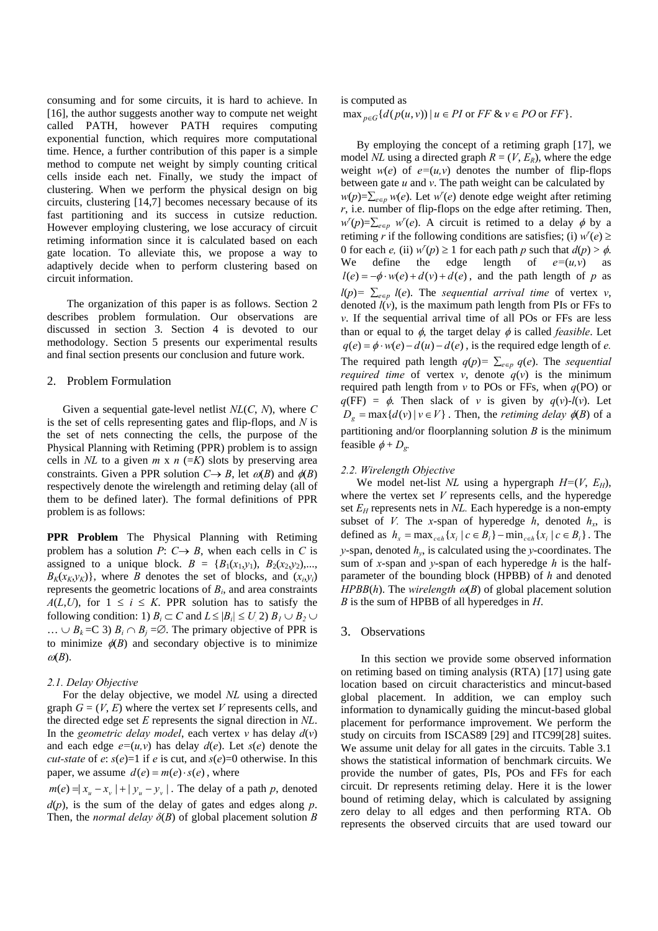consuming and for some circuits, it is hard to achieve. In [16], the author suggests another way to compute net weight called PATH, however PATH requires computing exponential function, which requires more computational time. Hence, a further contribution of this paper is a simple method to compute net weight by simply counting critical cells inside each net. Finally, we study the impact of clustering. When we perform the physical design on big circuits, clustering [14,7] becomes necessary because of its fast partitioning and its success in cutsize reduction. However employing clustering, we lose accuracy of circuit retiming information since it is calculated based on each gate location. To alleviate this, we propose a way to adaptively decide when to perform clustering based on circuit information.

The organization of this paper is as follows. Section 2 describes problem formulation. Our observations are discussed in section 3. Section 4 is devoted to our methodology. Section 5 presents our experimental results and final section presents our conclusion and future work.

### 2. Problem Formulation

Given a sequential gate-level netlist *NL*(*C*, *N*), where *C* is the set of cells representing gates and flip-flops, and *N* is the set of nets connecting the cells, the purpose of the Physical Planning with Retiming (PPR) problem is to assign cells in *NL* to a given  $m \times n$  (=*K*) slots by preserving area constraints. Given a PPR solution  $C \rightarrow B$ , let  $\omega(B)$  and  $\phi(B)$ respectively denote the wirelength and retiming delay (all of them to be defined later). The formal definitions of PPR problem is as follows:

**PPR Problem** The Physical Planning with Retiming problem has a solution  $P: C \rightarrow B$ , when each cells in *C* is assigned to a unique block.  $B = {B_1(x_1,y_1), B_2(x_2,y_2),...}$  $B_K(x_K, y_K)$ , where *B* denotes the set of blocks, and  $(x_i, y_i)$ represents the geometric locations of *Bi*, and area constraints *A*(*L*,*U*), for  $1 \le i \le K$ . PPR solution has to satisfy the following condition: 1)  $B_i \subset C$  and  $L \leq |B_i| \leq U(2) B_1 \cup B_2 \cup$ ...  $\cup$  *B<sub>k</sub>* = C 3) *B<sub>i</sub>* ∩ *B<sub>i</sub>* =  $\emptyset$ . The primary objective of PPR is to minimize  $\phi(B)$  and secondary objective is to minimize  $\omega(B)$ .

### *2.1. Delay Objective*

For the delay objective, we model *NL* using a directed graph  $G = (V, E)$  where the vertex set *V* represents cells, and the directed edge set *E* represents the signal direction in *NL*. In the *geometric delay model*, each vertex *v* has delay  $d(v)$ and each edge  $e=(u,v)$  has delay  $d(e)$ . Let  $s(e)$  denote the *cut-state* of *e*:  $s(e)=1$  if *e* is cut, and  $s(e)=0$  otherwise. In this paper, we assume  $d(e) = m(e) \cdot s(e)$ , where

 $m(e) = |x_u - x_v| + |y_u - y_v|$ . The delay of a path p, denoted  $d(p)$ , is the sum of the delay of gates and edges along *p*. Then, the *normal delay*  $\delta(B)$  of global placement solution *B* 

# is computed as  $\max_{p \in G} \{ d(p(u, v)) \mid u \in PI \text{ or } FF \& v \in PO \text{ or } FF \}.$

 $l(e) = -\phi \cdot w(e) + d(v) + d(e)$ , and the path length of *p* as  $q(e) = \phi \cdot w(e) - d(u) - d(e)$ , is the required edge length of *e*.  $D_g$  = max { $d(v) | v \in V$ }. Then, the *retiming delay*  $\phi(B)$  of a By employing the concept of a retiming graph [17], we model *NL* using a directed graph  $R = (V, E_R)$ , where the edge weight  $w(e)$  of  $e=(u,v)$  denotes the number of flip-flops between gate *u* and *v*. The path weight can be calculated by  $w(p)=\sum_{e\in p} w(e)$ . Let  $w'(e)$  denote edge weight after retiming *r*, i.e. number of flip-flops on the edge after retiming. Then,  $w^{r}(p) = \sum_{e \in p} w^{r}(e)$ . A circuit is retimed to a delay  $\phi$  by a retiming *r* if the following conditions are satisfies; (i)  $w'(e) \ge$ 0 for each *e*, (ii)  $w'(p) \ge 1$  for each path *p* such that  $d(p) > \phi$ . We define the edge length of  $e=(u,v)$  as  $l(p) = \sum_{e \in p} l(e)$ . The *sequential arrival time* of vertex *v*, denoted *, is the maximum path length from PIs or FFs to v*. If the sequential arrival time of all POs or FFs are less than or equal to  $\phi$ , the target delay  $\phi$  is called *feasible*. Let The required path length  $q(p) = \sum_{e \in p} q(e)$ . The *sequential required time* of vertex *v*, denote  $q(v)$  is the minimum required path length from *v* to POs or FFs, when *q*(PO) or  $q(FF) = \phi$ . Then slack of *v* is given by  $q(v) - l(v)$ . Let partitioning and/or floorplanning solution *B* is the minimum feasible  $\phi + D_g$ .

## *2.2. Wirelength Objective*

defined as  $h_x = \max_{c \in h} \{ x_i \mid c \in B_i \} - \min_{c \in h} \{ x_i \mid c \in B_i \}$ . The We model net-list *NL* using a hypergraph  $H=(V, E_H)$ , where the vertex set *V* represents cells, and the hyperedge set  $E_H$  represents nets in *NL*. Each hyperedge is a non-empty subset of *V*. The *x*-span of hyperedge *h*, denoted  $h_x$ , is *y*-span, denoted *hy*, is calculated using the *y*-coordinates. The sum of *x*-span and *y*-span of each hyperedge *h* is the halfparameter of the bounding block (HPBB) of *h* and denoted *HPBB* $(h)$ . The *wirelength*  $\omega(B)$  of global placement solution *B* is the sum of HPBB of all hyperedges in *H*.

#### 3. Observations

In this section we provide some observed information on retiming based on timing analysis (RTA) [17] using gate location based on circuit characteristics and mincut-based global placement. In addition, we can employ such information to dynamically guiding the mincut-based global placement for performance improvement. We perform the study on circuits from ISCAS89 [29] and ITC99[28] suites. We assume unit delay for all gates in the circuits. Table 3.1 shows the statistical information of benchmark circuits. We provide the number of gates, PIs, POs and FFs for each circuit. Dr represents retiming delay. Here it is the lower bound of retiming delay, which is calculated by assigning zero delay to all edges and then performing RTA. Ob represents the observed circuits that are used toward our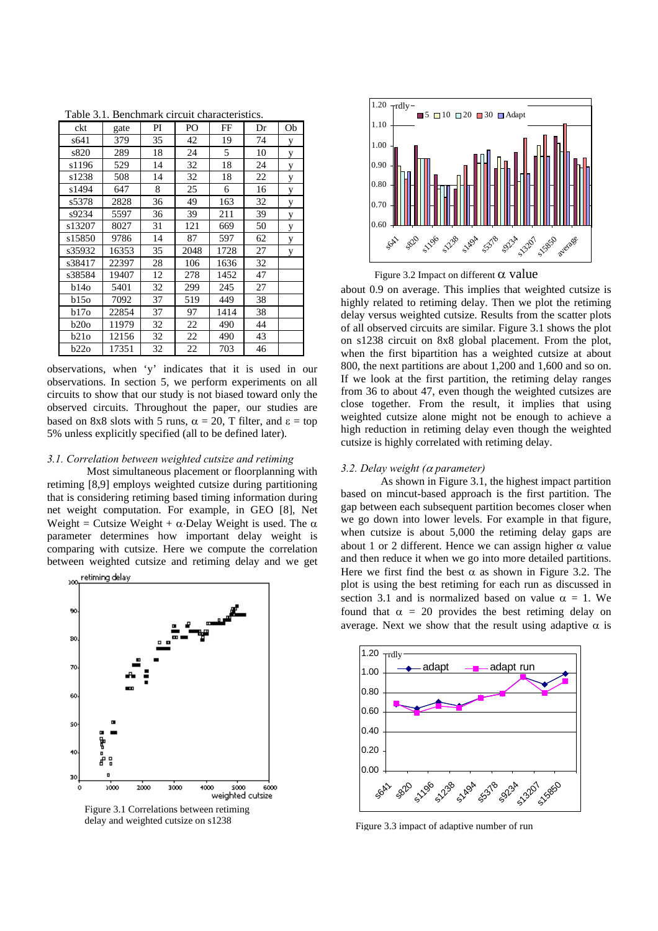| ckt    | gate  | PI | PO   | FF   | Dr | Ob |
|--------|-------|----|------|------|----|----|
| s641   | 379   | 35 | 42   | 19   | 74 | y  |
| s820   | 289   | 18 | 24   | 5    | 10 | y  |
| s1196  | 529   | 14 | 32   | 18   | 24 | y  |
| s1238  | 508   | 14 | 32   | 18   | 22 | y  |
| s1494  | 647   | 8  | 25   | 6    | 16 | у  |
| s5378  | 2828  | 36 | 49   | 163  | 32 | y  |
| s9234  | 5597  | 36 | 39   | 211  | 39 | у  |
| s13207 | 8027  | 31 | 121  | 669  | 50 | y  |
| s15850 | 9786  | 14 | 87   | 597  | 62 | y  |
| s35932 | 16353 | 35 | 2048 | 1728 | 27 | y  |
| s38417 | 22397 | 28 | 106  | 1636 | 32 |    |
| s38584 | 19407 | 12 | 278  | 1452 | 47 |    |
| b140   | 5401  | 32 | 299  | 245  | 27 |    |
| b150   | 7092  | 37 | 519  | 449  | 38 |    |
| b170   | 22854 | 37 | 97   | 1414 | 38 |    |
| b20o   | 11979 | 32 | 22   | 490  | 44 |    |
| b210   | 12156 | 32 | 22   | 490  | 43 |    |
| b220   | 17351 | 32 | 22   | 703  | 46 |    |

Table 3.1. Benchmark circuit characteristics.

observations, when 'y' indicates that it is used in our observations. In section 5, we perform experiments on all circuits to show that our study is not biased toward only the observed circuits. Throughout the paper, our studies are based on 8x8 slots with 5 runs,  $\alpha = 20$ , T filter, and  $\varepsilon =$  top 5% unless explicitly specified (all to be defined later).

## *3.1. Correlation between weighted cutsize and retiming*

Most simultaneous placement or floorplanning with retiming [8,9] employs weighted cutsize during partitioning that is considering retiming based timing information during net weight computation. For example, in GEO [8], Net Weight = Cutsize Weight +  $\alpha$ ·Delay Weight is used. The  $\alpha$ parameter determines how important delay weight is comparing with cutsize. Here we compute the correlation between weighted cutsize and retiming delay and we get



Figure 3.1 Correlations between retiming delay and weighted cutsize on s1238



Figure 3.2 Impact on different  $\alpha$  value

about 0.9 on average. This implies that weighted cutsize is highly related to retiming delay. Then we plot the retiming delay versus weighted cutsize. Results from the scatter plots of all observed circuits are similar. Figure 3.1 shows the plot on s1238 circuit on 8x8 global placement. From the plot, when the first bipartition has a weighted cutsize at about 800, the next partitions are about 1,200 and 1,600 and so on. If we look at the first partition, the retiming delay ranges from 36 to about 47, even though the weighted cutsizes are close together. From the result, it implies that using weighted cutsize alone might not be enough to achieve a high reduction in retiming delay even though the weighted cutsize is highly correlated with retiming delay.

## *3.2. Delay weight (*α *parameter)*

As shown in Figure 3.1, the highest impact partition based on mincut-based approach is the first partition. The gap between each subsequent partition becomes closer when we go down into lower levels. For example in that figure, when cutsize is about 5,000 the retiming delay gaps are about 1 or 2 different. Hence we can assign higher  $\alpha$  value and then reduce it when we go into more detailed partitions. Here we first find the best  $\alpha$  as shown in Figure 3.2. The plot is using the best retiming for each run as discussed in section 3.1 and is normalized based on value  $\alpha = 1$ . We found that  $\alpha = 20$  provides the best retiming delay on average. Next we show that the result using adaptive  $\alpha$  is



Figure 3.3 impact of adaptive number of run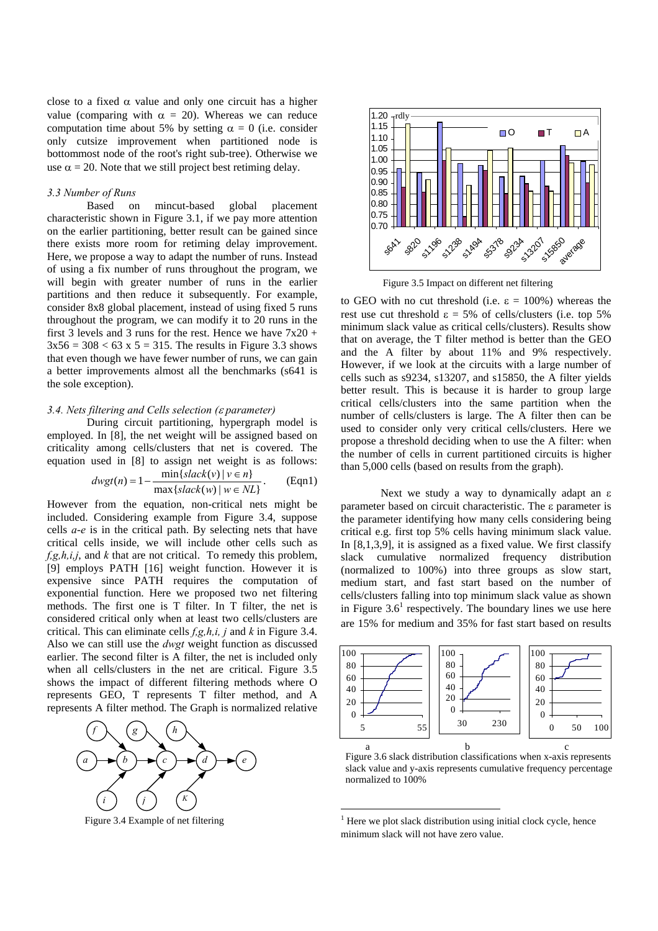close to a fixed  $\alpha$  value and only one circuit has a higher value (comparing with  $\alpha = 20$ ). Whereas we can reduce computation time about 5% by setting  $\alpha = 0$  (i.e. consider only cutsize improvement when partitioned node is bottommost node of the root's right sub-tree). Otherwise we use  $\alpha = 20$ . Note that we still project best retiming delay.

# *3.3 Number of Runs*

Based on mincut-based global placement characteristic shown in Figure 3.1, if we pay more attention on the earlier partitioning, better result can be gained since there exists more room for retiming delay improvement. Here, we propose a way to adapt the number of runs. Instead of using a fix number of runs throughout the program, we will begin with greater number of runs in the earlier partitions and then reduce it subsequently. For example, consider 8x8 global placement, instead of using fixed 5 runs throughout the program, we can modify it to 20 runs in the first 3 levels and 3 runs for the rest. Hence we have  $7x20 +$  $3x56 = 308 < 63$  x  $5 = 315$ . The results in Figure 3.3 shows that even though we have fewer number of runs, we can gain a better improvements almost all the benchmarks (s641 is the sole exception).

# *3.4. Nets filtering and Cells selection (*ε *parameter)*

During circuit partitioning, hypergraph model is employed. In [8], the net weight will be assigned based on criticality among cells/clusters that net is covered. The equation used in [8] to assign net weight is as follows:

$$
dwgt(n) = 1 - \frac{\min\{slack(v) \mid v \in n\}}{\max\{slack(w) \mid w \in NL\}}.
$$
 (Eqn1)

However from the equation, non-critical nets might be included. Considering example from Figure 3.4, suppose cells *a*-*e* is in the critical path. By selecting nets that have critical cells inside, we will include other cells such as *f,g,h,i,j*, and *k* that are not critical. To remedy this problem, [9] employs PATH [16] weight function. However it is expensive since PATH requires the computation of exponential function. Here we proposed two net filtering methods. The first one is T filter. In T filter, the net is considered critical only when at least two cells/clusters are critical. This can eliminate cells *f,g,h,i, j* and *k* in Figure 3.4. Also we can still use the *dwgt* weight function as discussed earlier. The second filter is A filter, the net is included only when all cells/clusters in the net are critical. Figure 3.5 shows the impact of different filtering methods where O represents GEO, T represents T filter method, and A represents A filter method. The Graph is normalized relative



Figure 3.4 Example of net filtering



Figure 3.5 Impact on different net filtering

to GEO with no cut threshold (i.e.  $\varepsilon = 100\%$ ) whereas the rest use cut threshold  $\epsilon = 5\%$  of cells/clusters (i.e. top 5%) minimum slack value as critical cells/clusters). Results show that on average, the T filter method is better than the GEO and the A filter by about 11% and 9% respectively. However, if we look at the circuits with a large number of cells such as s9234, s13207, and s15850, the A filter yields better result. This is because it is harder to group large critical cells/clusters into the same partition when the number of cells/clusters is large. The A filter then can be used to consider only very critical cells/clusters. Here we propose a threshold deciding when to use the A filter: when the number of cells in current partitioned circuits is higher than 5,000 cells (based on results from the graph).

Next we study a way to dynamically adapt an  $\epsilon$ parameter based on circuit characteristic. The ε parameter is the parameter identifying how many cells considering being critical e.g. first top 5% cells having minimum slack value. In [8,1,3,9], it is assigned as a fixed value. We first classify slack cumulative normalized frequency distribution (normalized to 100%) into three groups as slow start, medium start, and fast start based on the number of cells/clusters falling into top minimum slack value as shown in Figure  $3.6<sup>1</sup>$  $3.6<sup>1</sup>$  $3.6<sup>1</sup>$  respectively. The boundary lines we use here are 15% for medium and 35% for fast start based on results



Figure 3.6 slack distribution classifications when x-axis represents slack value and y-axis represents cumulative frequency percentage normalized to 100%

 $\overline{a}$ 

<span id="page-3-0"></span><sup>&</sup>lt;sup>1</sup> Here we plot slack distribution using initial clock cycle, hence minimum slack will not have zero value.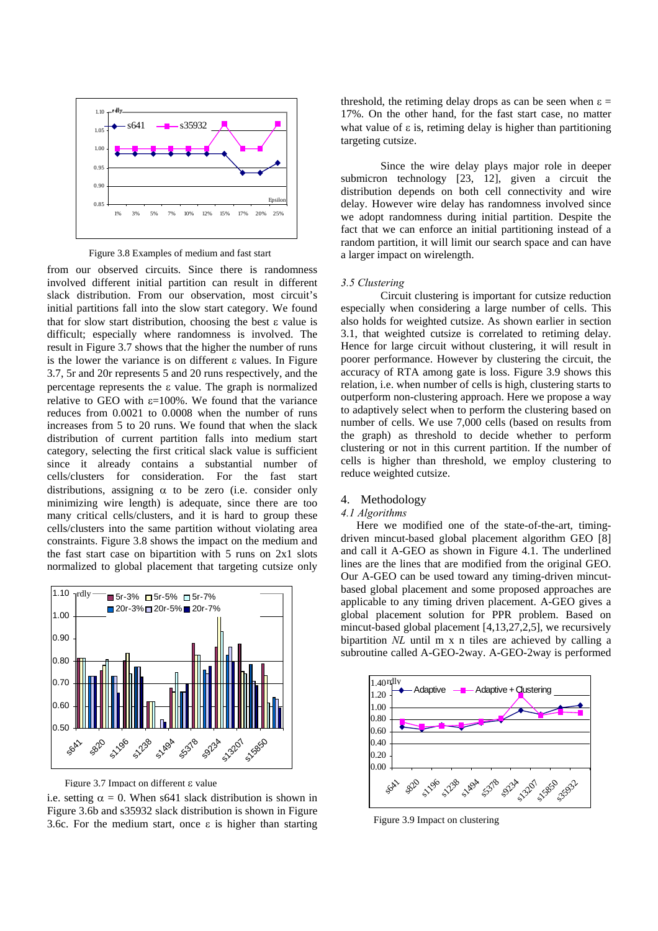

Figure 3.8 Examples of medium and fast start

from our observed circuits. Since there is randomness involved different initial partition can result in different slack distribution. From our observation, most circuit's initial partitions fall into the slow start category. We found that for slow start distribution, choosing the best ε value is difficult; especially where randomness is involved. The result in Figure 3.7 shows that the higher the number of runs is the lower the variance is on different ε values. In Figure 3.7, 5r and 20r represents 5 and 20 runs respectively, and the percentage represents the ε value. The graph is normalized relative to GEO with  $\varepsilon$ =100%. We found that the variance reduces from 0.0021 to 0.0008 when the number of runs increases from 5 to 20 runs. We found that when the slack distribution of current partition falls into medium start category, selecting the first critical slack value is sufficient since it already contains a substantial number of cells/clusters for consideration. For the fast start distributions, assigning  $\alpha$  to be zero (i.e. consider only minimizing wire length) is adequate, since there are too many critical cells/clusters, and it is hard to group these cells/clusters into the same partition without violating area constraints. Figure 3.8 shows the impact on the medium and the fast start case on bipartition with 5 runs on 2x1 slots normalized to global placement that targeting cutsize only



Figure 3.7 Impact on different ε value

i.e. setting  $\alpha = 0$ . When s641 slack distribution is shown in Figure 3.6b and s35932 slack distribution is shown in Figure 3.6c. For the medium start, once  $\varepsilon$  is higher than starting

threshold, the retiming delay drops as can be seen when  $\varepsilon =$ 17%. On the other hand, for the fast start case, no matter what value of  $\varepsilon$  is, retiming delay is higher than partitioning targeting cutsize.

Since the wire delay plays major role in deeper submicron technology [23, 12], given a circuit the distribution depends on both cell connectivity and wire delay. However wire delay has randomness involved since we adopt randomness during initial partition. Despite the fact that we can enforce an initial partitioning instead of a random partition, it will limit our search space and can have a larger impact on wirelength.

# *3.5 Clustering*

Circuit clustering is important for cutsize reduction especially when considering a large number of cells. This also holds for weighted cutsize. As shown earlier in section 3.1, that weighted cutsize is correlated to retiming delay. Hence for large circuit without clustering, it will result in poorer performance. However by clustering the circuit, the accuracy of RTA among gate is loss. Figure 3.9 shows this relation, i.e. when number of cells is high, clustering starts to outperform non-clustering approach. Here we propose a way to adaptively select when to perform the clustering based on number of cells. We use 7,000 cells (based on results from the graph) as threshold to decide whether to perform clustering or not in this current partition. If the number of cells is higher than threshold, we employ clustering to reduce weighted cutsize.

# 4. Methodology

# *4.1 Algorithms*

Here we modified one of the state-of-the-art, timingdriven mincut-based global placement algorithm GEO [8] and call it A-GEO as shown in Figure 4.1. The underlined lines are the lines that are modified from the original GEO. Our A-GEO can be used toward any timing-driven mincutbased global placement and some proposed approaches are applicable to any timing driven placement. A-GEO gives a global placement solution for PPR problem. Based on mincut-based global placement [4,13,27,2,5], we recursively bipartition *NL* until m x n tiles are achieved by calling a subroutine called A-GEO-2way. A-GEO-2way is performed



Figure 3.9 Impact on clustering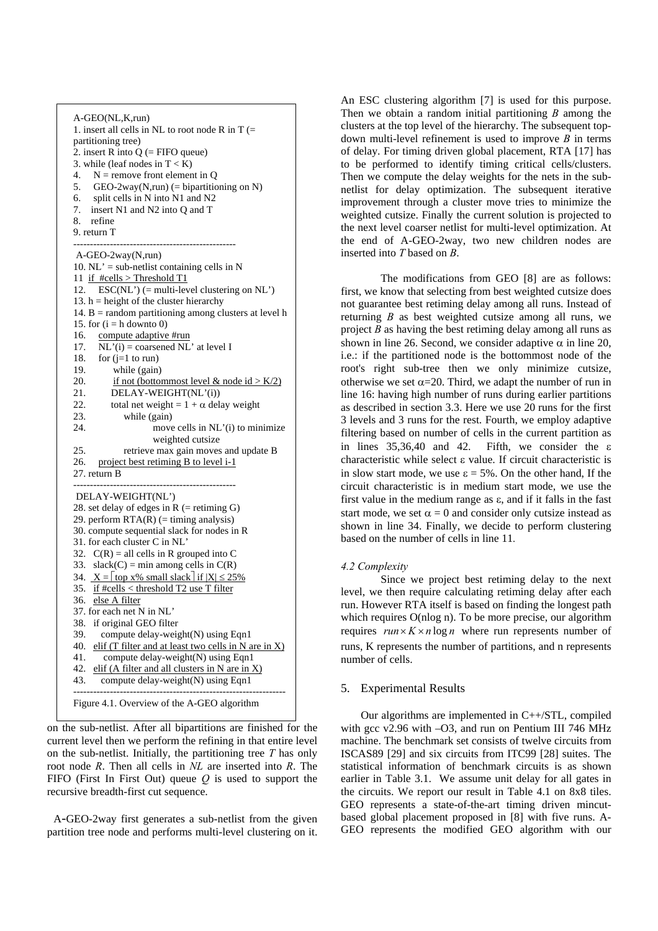

on the sub-netlist. After all bipartitions are finished for the current level then we perform the refining in that entire level on the sub-netlist. Initially, the partitioning tree *T* has only root node *R*. Then all cells in *NL* are inserted into *R*. The FIFO (First In First Out) queue *Q* is used to support the recursive breadth-first cut sequence.

 A-GEO-2way first generates a sub-netlist from the given partition tree node and performs multi-level clustering on it.

An ESC clustering algorithm [7] is used for this purpose. Then we obtain a random initial partitioning *B* among the clusters at the top level of the hierarchy. The subsequent topdown multi-level refinement is used to improve *B* in terms of delay. For timing driven global placement, RTA [17] has to be performed to identify timing critical cells/clusters. Then we compute the delay weights for the nets in the subnetlist for delay optimization. The subsequent iterative improvement through a cluster move tries to minimize the weighted cutsize. Finally the current solution is projected to the next level coarser netlist for multi-level optimization. At the end of A-GEO-2way, two new children nodes are inserted into *T* based on *B*.

The modifications from GEO [8] are as follows: first, we know that selecting from best weighted cutsize does not guarantee best retiming delay among all runs. Instead of returning *B* as best weighted cutsize among all runs, we project *B* as having the best retiming delay among all runs as shown in line 26. Second, we consider adaptive  $\alpha$  in line 20, i.e.: if the partitioned node is the bottommost node of the root's right sub-tree then we only minimize cutsize, otherwise we set  $\alpha = 20$ . Third, we adapt the number of run in line 16: having high number of runs during earlier partitions as described in section 3.3. Here we use 20 runs for the first 3 levels and 3 runs for the rest. Fourth, we employ adaptive filtering based on number of cells in the current partition as in lines  $35,36,40$  and  $42$ . Fifth, we consider the  $\varepsilon$ characteristic while select ε value. If circuit characteristic is in slow start mode, we use  $\epsilon = 5\%$ . On the other hand, If the circuit characteristic is in medium start mode, we use the first value in the medium range as ε, and if it falls in the fast start mode, we set  $\alpha = 0$  and consider only cutsize instead as shown in line 34. Finally, we decide to perform clustering based on the number of cells in line 11.

# *4.2 Complexity*

Since we project best retiming delay to the next level, we then require calculating retiming delay after each run. However RTA itself is based on finding the longest path which requires O(nlog n). To be more precise, our algorithm requires  $run \times K \times n \log n$  where run represents number of runs, K represents the number of partitions, and n represents number of cells.

# 5. Experimental Results

Our algorithms are implemented in C++/STL, compiled with gcc v2.96 with  $-O3$ , and run on Pentium III 746 MHz machine. The benchmark set consists of twelve circuits from ISCAS89 [29] and six circuits from ITC99 [28] suites. The statistical information of benchmark circuits is as shown earlier in Table 3.1. We assume unit delay for all gates in the circuits. We report our result in Table 4.1 on 8x8 tiles. GEO represents a state-of-the-art timing driven mincutbased global placement proposed in [8] with five runs. A-GEO represents the modified GEO algorithm with our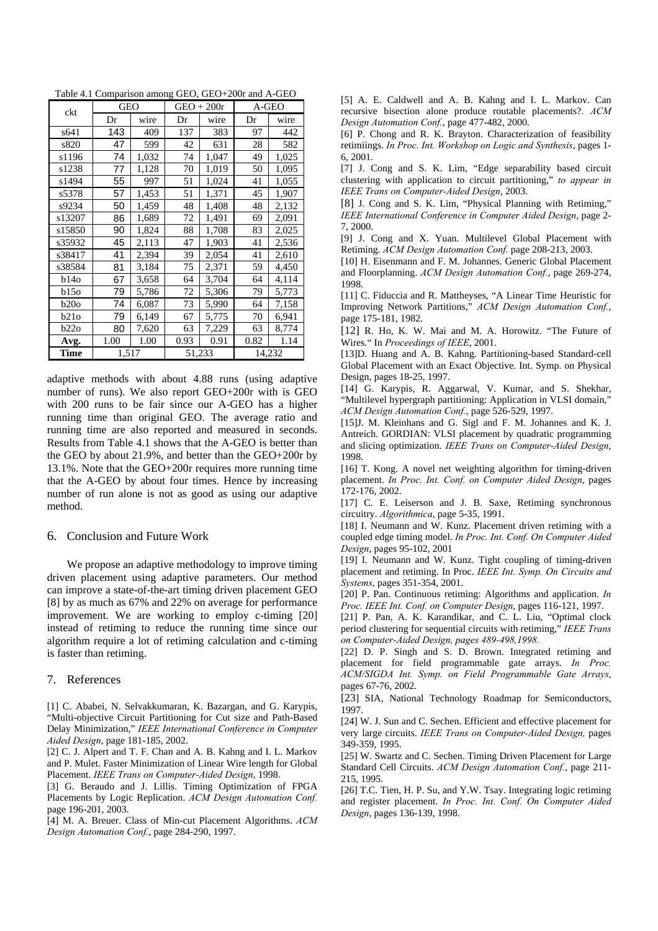Table 4.1 Comparison among GEO, GEO+200r and A-GEO

| ckt    | <b>GEO</b> |       | $GEO + 200r$ |       | A-GEO  |       |
|--------|------------|-------|--------------|-------|--------|-------|
|        | Dr         | wire  | Dr           | wire  | Dr     | wire  |
| s641   | 143        | 409   | 137          | 383   | 97     | 442   |
| s820   | 47         | 599   | 42           | 631   | 28     | 582   |
| s1196  | 74         | 1,032 | 74           | 1,047 | 49     | 1,025 |
| s1238  | 77         | 1,128 | 70           | 1,019 | 50     | 1,095 |
| s1494  | 55         | 997   | 51           | 1,024 | 41     | 1,055 |
| s5378  | 57         | 1,453 | 51           | 1,371 | 45     | 1,907 |
| s9234  | 50         | 1,459 | 48           | 1,408 | 48     | 2,132 |
| s13207 | 86         | 1,689 | 72           | 1,491 | 69     | 2,091 |
| s15850 | 90         | 1,824 | 88           | 1,708 | 83     | 2,025 |
| s35932 | 45         | 2,113 | 47           | 1,903 | 41     | 2,536 |
| s38417 | 41         | 2,394 | 39           | 2,054 | 41     | 2,610 |
| s38584 | 81         | 3,184 | 75           | 2,371 | 59     | 4,450 |
| b140   | 67         | 3,658 | 64           | 3,704 | 64     | 4,114 |
| b150   | 79         | 5,786 | 72           | 5,306 | 79     | 5,773 |
| b20o   | 74         | 6,087 | 73           | 5,990 | 64     | 7,158 |
| b21o   | 79         | 6,149 | 67           | 5,775 | 70     | 6,941 |
| b22o   | 80         | 7,620 | 63           | 7,229 | 63     | 8,774 |
| Avg.   | 1.00       | 1.00  | 0.93         | 0.91  | 0.82   | 1.14  |
| Time   | 1,517      |       | 51,233       |       | 14,232 |       |

adaptive methods with about 4.88 runs (using adaptive number of runs). We also report GEO+200r with is GEO with 200 runs to be fair since our A-GEO has a higher running time than original GEO. The average ratio and running time are also reported and measured in seconds. Results from Table 4.1 shows that the A-GEO is better than the GEO by about 21.9%, and better than the GEO+200r by 13.1%. Note that the GEO+200r requires more running time that the A-GEO by about four times. Hence by increasing number of run alone is not as good as using our adaptive method.

#### 6. Conclusion and Future Work

We propose an adaptive methodology to improve timing driven placement using adaptive parameters. Our method can improve a state-of-the-art timing driven placement GEO [8] by as much as 67% and 22% on average for performance improvement. We are working to employ c-timing [20] instead of retiming to reduce the running time since our algorithm require a lot of retiming calculation and c-timing is faster than retiming.

#### 7. References

[1] C. Ababei, N. Selvakkumaran, K. Bazargan, and G. Karypis, "Multi-objective Circuit Partitioning for Cut size and Path-Based Delay Minimization," *IEEE International Conference in Computer Aided Design*, page 181-185, 2002.

[2] C. J. Alpert and T. F. Chan and A. B. Kahng and I. L. Markov and P. Mulet. Faster Minimization of Linear Wire length for Global Placement. *IEEE Trans on Computer-Aided Design*, 1998.

[3] G. Beraudo and J. Lillis. Timing Optimization of FPGA Placements by Logic Replication. *ACM Design Automation Conf.*  page 196-201, 2003.

[4] M. A. Breuer. Class of Min-cut Placement Algorithms. *ACM Design Automation Conf.*, page 284-290, 1997.

[5] A. E. Caldwell and A. B. Kahng and I. L. Markov. Can recursive bisection alone produce routable placements?. *ACM Design Automation Conf.*, page 477-482, 2000.

[6] P. Chong and R. K. Brayton. Characterization of feasibility retimiings. *In Proc. Int. Workshop on Logic and Synthesis*, pages 1- 6, 2001.

[7] J. Cong and S. K. Lim, "Edge separability based circuit clustering with application to circuit partitioning," *to appear in IEEE Trans on Computer-Aided Design*, 2003.

[8] J. Cong and S. K. Lim, "Physical Planning with Retiming," *IEEE International Conference in Computer Aided Design*, page 2- 7, 2000.

[9] J. Cong and X. Yuan. Multilevel Global Placement with Retiming. *ACM Design Automation Conf.* page 208-213, 2003.

[10] H. Eisenmann and F. M. Johannes. Generic Global Placement and Floorplanning. *ACM Design Automation Conf.*, page 269-274, 1998.

[11] C. Fiduccia and R. Mattheyses, "A Linear Time Heuristic for Improving Network Partitions," *ACM Design Automation Conf.*, page 175-181, 1982.

[12] R. Ho, K. W. Mai and M. A. Horowitz. "The Future of Wires." In *Proceedings of IEEE*, 2001.

[13]D. Huang and A. B. Kahng. Partitioning-based Standard-cell Global Placement with an Exact Objective. Int. Symp. on Physical Design, pages 18-25, 1997.

[14] G. Karypis, R. Aggarwal, V. Kumar, and S. Shekhar, "Multilevel hypergraph partitioning: Application in VLSI domain," *ACM Design Automation Conf.*, page 526-529, 1997.

[15]J. M. Kleinhans and G. Sigl and F. M. Johannes and K. J. Antreich. GORDIAN: VLSI placement by quadratic programming and slicing optimization. *IEEE Trans on Computer-Aided Design*, 1998.

[16] T. Kong. A novel net weighting algorithm for timing-driven placement. *In Proc. Int. Conf. on Computer Aided Design*, pages 172-176, 2002.

[17] C. E. Leiserson and J. B. Saxe, Retiming synchronous circuitry. *Algorithmica*, page 5-35, 1991.

[18] I. Neumann and W. Kunz. Placement driven retiming with a coupled edge timing model. *In Proc. Int. Conf. On Computer Aided Design*, pages 95-102, 2001

[19] I. Neumann and W. Kunz. Tight coupling of timing-driven placement and retiming. In Proc. *IEEE Int. Symp. On Circuits and Systems*, pages 351-354, 2001.

[20] P. Pan. Continuous retiming: Algorithms and application. *In Proc. IEEE Int. Conf. on Computer Design*, pages 116-121, 1997.

[21] P. Pan, A. K. Karandikar, and C. L. Liu, "Optimal clock period clustering for sequential circuits with retiming," *IEEE Trans on Computer-Aided Design, pages 489-498,1998.*

[22] D. P. Singh and S. D. Brown. Integrated retiming and placement for field programmable gate arrays. *In Proc. ACM/SIGDA Int. Symp. on Field Programmable Gate Arrays*, pages 67-76, 2002.

[23] SIA, National Technology Roadmap for Semiconductors, 1997.

[24] W. J. Sun and C. Sechen. Efficient and effective placement for very large circuits. *IEEE Trans on Computer-Aided Design,* pages 349-359, 1995.

[25] W. Swartz and C. Sechen. Timing Driven Placement for Large Standard Cell Circuits. *ACM Design Automation Conf.*, page 211- 215, 1995.

[26] T.C. Tien, H. P. Su, and Y.W. Tsay. Integrating logic retiming and register placement. *In Proc. Int. Conf. On Computer Aided Design*, pages 136-139, 1998.